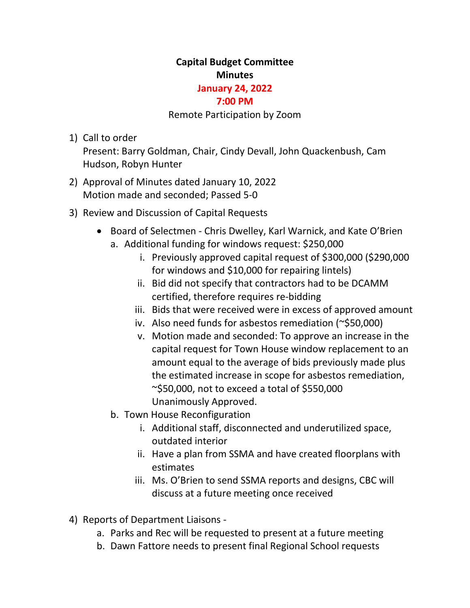## **Capital Budget Committee Minutes**

## **January 24, 2022**

## **7:00 PM**

## Remote Participation by Zoom

1) Call to order

Present: Barry Goldman, Chair, Cindy Devall, John Quackenbush, Cam Hudson, Robyn Hunter

- 2) Approval of Minutes dated January 10, 2022 Motion made and seconded; Passed 5-0
- 3) Review and Discussion of Capital Requests
	- Board of Selectmen Chris Dwelley, Karl Warnick, and Kate O'Brien a. Additional funding for windows request: \$250,000
		- i. Previously approved capital request of \$300,000 (\$290,000 for windows and \$10,000 for repairing lintels)
		- ii. Bid did not specify that contractors had to be DCAMM certified, therefore requires re-bidding
		- iii. Bids that were received were in excess of approved amount
		- iv. Also need funds for asbestos remediation (~\$50,000)
		- v. Motion made and seconded: To approve an increase in the capital request for Town House window replacement to an amount equal to the average of bids previously made plus the estimated increase in scope for asbestos remediation, ~\$50,000, not to exceed a total of \$550,000 Unanimously Approved.
		- b. Town House Reconfiguration
			- i. Additional staff, disconnected and underutilized space, outdated interior
			- ii. Have a plan from SSMA and have created floorplans with estimates
			- iii. Ms. O'Brien to send SSMA reports and designs, CBC will discuss at a future meeting once received
- 4) Reports of Department Liaisons
	- a. Parks and Rec will be requested to present at a future meeting
	- b. Dawn Fattore needs to present final Regional School requests